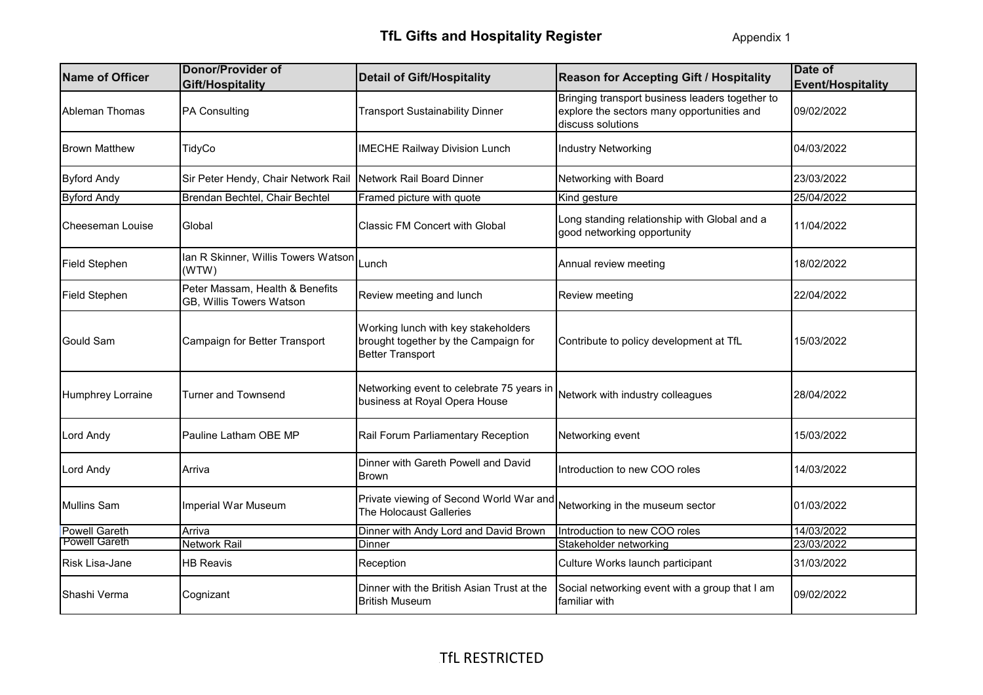Appendix 1

| <b>Name of Officer</b>   | <b>Donor/Provider of</b><br>Gift/Hospitality                       | <b>Detail of Gift/Hospitality</b>                                                                      | <b>Reason for Accepting Gift / Hospitality</b>                                                                     | Date of<br><b>Event/Hospitality</b> |
|--------------------------|--------------------------------------------------------------------|--------------------------------------------------------------------------------------------------------|--------------------------------------------------------------------------------------------------------------------|-------------------------------------|
| Ableman Thomas           | <b>PA Consulting</b>                                               | <b>Transport Sustainability Dinner</b>                                                                 | Bringing transport business leaders together to<br>explore the sectors many opportunities and<br>discuss solutions | 09/02/2022                          |
| <b>Brown Matthew</b>     | TidyCo                                                             | <b>IMECHE Railway Division Lunch</b>                                                                   | <b>Industry Networking</b>                                                                                         | 04/03/2022                          |
| <b>Byford Andy</b>       | Sir Peter Hendy, Chair Network Rail                                | Network Rail Board Dinner                                                                              | Networking with Board                                                                                              | 23/03/2022                          |
| <b>Byford Andy</b>       | Brendan Bechtel, Chair Bechtel                                     | Framed picture with quote                                                                              | Kind gesture                                                                                                       | 25/04/2022                          |
| <b>Cheeseman Louise</b>  | Global                                                             | <b>Classic FM Concert with Global</b>                                                                  | Long standing relationship with Global and a<br>good networking opportunity                                        | 11/04/2022                          |
| <b>Field Stephen</b>     | Termin R. Skinner, Willis Towers Watson Lunch<br>(WTW)             |                                                                                                        | Annual review meeting                                                                                              | 18/02/2022                          |
| <b>Field Stephen</b>     | Peter Massam, Health & Benefits<br><b>GB, Willis Towers Watson</b> | Review meeting and lunch                                                                               | Review meeting                                                                                                     | 22/04/2022                          |
| <b>Gould Sam</b>         | Campaign for Better Transport                                      | Working lunch with key stakeholders<br>brought together by the Campaign for<br><b>Better Transport</b> | Contribute to policy development at TfL                                                                            | 15/03/2022                          |
| <b>Humphrey Lorraine</b> | <b>Turner and Townsend</b>                                         | Networking event to celebrate 75 years in<br>business at Royal Opera House                             | Network with industry colleagues                                                                                   | 28/04/2022                          |
| <b>Lord Andy</b>         | Pauline Latham OBE MP                                              | Rail Forum Parliamentary Reception                                                                     | Networking event                                                                                                   | 15/03/2022                          |
| <b>Lord Andy</b>         | Arriva                                                             | Dinner with Gareth Powell and David<br><b>Brown</b>                                                    | Introduction to new COO roles                                                                                      | 14/03/2022                          |
| <b>Mullins Sam</b>       | Imperial War Museum                                                | Private viewing of Second World War and<br>The Holocaust Galleries                                     | Networking in the museum sector                                                                                    | 01/03/2022                          |
| <b>Powell Gareth</b>     | Arriva                                                             | Dinner with Andy Lord and David Brown                                                                  | Introduction to new COO roles                                                                                      | 14/03/2022                          |
| <b>Powell Gareth</b>     | <b>Network Rail</b>                                                | Dinner                                                                                                 | Stakeholder networking                                                                                             | 23/03/2022                          |
| Risk Lisa-Jane           | <b>HB Reavis</b>                                                   | Reception                                                                                              | Culture Works launch participant                                                                                   | 31/03/2022                          |
| Shashi Verma             | Cognizant                                                          | Dinner with the British Asian Trust at the<br><b>British Museum</b>                                    | Social networking event with a group that I am<br>09/02/2022<br>familiar with                                      |                                     |